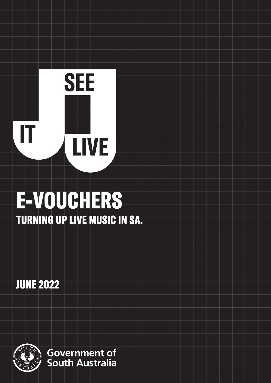# **SEE**  IT **LIVE**

# E-VOUCHERS TURNING UP LIVE MUSIC IN SA.

JUNE 2022

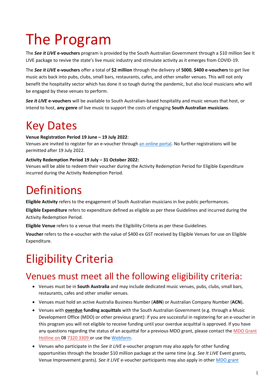# The Program

The *See it LIVE* **e-vouchers** program is provided by the South Australian Government through a \$10 million See It LIVE package to revive the state's live music industry and stimulate activity as it emerges from COVID-19.

The *See it LIVE* **e-vouchers** offer a total of **\$2 million** through the delivery of **5000**, **\$400 e-vouchers** to get live music acts back into pubs, clubs, small bars, restaurants, cafes, and other smaller venues. This will not only benefit the hospitality sector which has done it so tough during the pandemic, but also local musicians who will be engaged by these venues to perform.

*See it LIVE* **e-vouchers** will be available to South Australian-based hospitality and music venues that host, or intend to host, **any genre** of live music to support the costs of engaging **South Australian musicians**.

# Key Dates

#### **Venue Registration Period 19 June – 19 July 2022**:

Venues are invited to register for an e-voucher through [an online portal.](https://mybusiness.smartygrants.com.au/) No further registrations will be permitted after 19 July 2022.

#### **Activity Redemption Period 19 July – 31 October 2022:**

Venues will be able to redeem their voucher during the Activity Redemption Period for Eligible Expenditure incurred during the Activity Redemption Period.

# **Definitions**

**Eligible Activity** refers to the engagement of South Australian musicians in live public performances.

**Eligible Expenditure** refers to expenditure defined as eligible as per these Guidelines and incurred during the Activity Redemption Period.

**Eligible Venue** refers to a venue that meets the Eligibility Criteria as per these Guidelines.

**Voucher** refers to the e-voucher with the value of \$400 ex GST received by Eligible Venues for use on Eligible Expenditure.

# Eligibility Criteria

### Venues must meet all the following eligibility criteria:

- Venues must be in **South Australia** and may include dedicated music venues, pubs, clubs, small bars, restaurants, cafes and other smaller venues.
- Venues must hold an active Australia Business Number (**ABN**) or Australian Company Number (**ACN**)**.**
- Venues with **overdue funding acquittals** with the South Australian Government (e.g. through a Music Development Office (MDO) or other previous grant): if you are successful in registering for an e-voucher in this program you will not eligible to receive funding until your overdue acquittal is approved. If you have any questions regarding the status of an acquittal for a previous MDO grant, please contact the MDO Grant Hotline on 08 7320 3309 or use the [Webform.](https://business.sa.gov.au/live-music/contact)
- Venues who participate in the *See it LIVE* e-voucher program may also apply for other funding opportunities through the broader \$10 million package at the same time (e.g. *See It LIVE* Event grants, Venue Improvement grants). *See it LIVE* e-voucher participants may also apply in othe[r MDO grant](https://mdo.sa.gov.au/)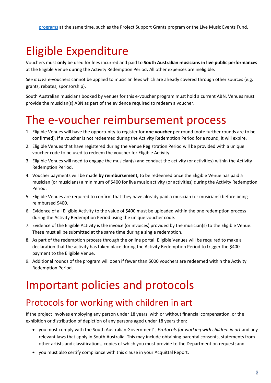# Eligible Expenditure

Vouchers must **only** be used for fees incurred and paid to **South Australian musicians in live public performances**  at the Eligible Venue during the Activity Redemption Period**.** All other expenses are ineligible.

*See it LIVE* e-vouchers cannot be applied to musician fees which are already covered through other sources (e.g. grants, rebates, sponsorship).

South Australian musicians booked by venues for this e-voucher program must hold a current ABN. Venues must provide the musician(s) ABN as part of the evidence required to redeem a voucher.

# The e-voucher reimbursement process

- 1. Eligible Venues will have the opportunity to register for **one voucher** per round (note further rounds are to be confirmed). If a voucher is not redeemed during the Activity Redemption Period for a round, it will expire.
- 2. Eligible Venues that have registered during the Venue Registration Period will be provided with a unique voucher code to be used to redeem the voucher for Eligible Activity.
- 3. Eligible Venues will need to engage the musician(s) and conduct the activity (or activities) within the Activity Redemption Period.
- 4. Voucher payments will be made **by reimbursement,** to be redeemed once the Eligible Venue has paid a musician (or musicians) a minimum of \$400 for live music activity (or activities) during the Activity Redemption Period.
- 5. Eligible Venues are required to confirm that they have already paid a musician (or musicians) before being reimbursed \$400.
- 6. Evidence of all Eligible Activity to the value of \$400 must be uploaded within the one redemption process during the Activity Redemption Period using the unique voucher code.
- 7. Evidence of the Eligible Activity is the invoice (or invoices) provided by the musician(s) to the Eligible Venue. These must all be submitted at the same time during a single redemption.
- 8. As part of the redemption process through the online portal, Eligible Venues will be required to make a declaration that the activity has taken place during the Activity Redemption Period to trigger the \$400 payment to the Eligible Venue.
- 9. Additional rounds of the program will open if fewer than 5000 vouchers are redeemed within the Activity Redemption Period.

## Important policies and protocols

#### Protocols for working with children in art

If the project involves employing any person under 18 years, with or without financial compensation, or the exhibition or distribution of depiction of any persons aged under 18 years then:

- you must comply with the South Australian Government's *Protocols for working with children in art* and any relevant laws that apply in South Australia. This may include obtaining parental consents, statements from other artists and classifications, copies of which you must provide to the Department on request; and
- you must also certify compliance with this clause in your Acquittal Report.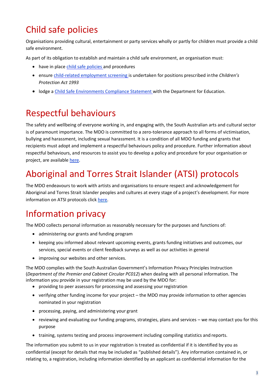## Child safe policies

Organisations providing cultural, entertainment or party services wholly or partly for children must provide a child safe environment.

As part of its obligation to establish and maintain a child safe environment, an organisation must:

- have in place [child safe policies](https://dhs.sa.gov.au/services/community-and-family-services/child-safe-environments/creating-child-safe-environments/developing-a-child-safe-policy) and procedures
- ensure [child-related employment screening](https://screening.sa.gov.au/types-of-check/child-related-employment) is undertaken for positions prescribed inthe *Children's Protection Act 1993*
- lodge a [Child Safe Environments Compliance Statement w](https://dhs.sa.gov.au/services/community-and-family-services/child-safe-environments/lodging-a-child-safe-environments-compliance-statement)ith the Department for Education.

### Respectful behaviours

The safety and wellbeing of everyone working in, and engaging with, the South Australian arts and cultural sector is of paramount importance. The MDO is committed to a zero-tolerance approach to all forms of victimisation, bullying and harassment, including sexual harassment. It is a condition of all MDO funding and grants that recipients must adopt and implement a respectful behaviours policy and procedure. Further information about respectful behaviours, and resources to assist you to develop a policy and procedure for your organisation or project, are available [here.](https://www.dpc.sa.gov.au/responsibilities/arts-and-culture/grants/guidelines)

### Aboriginal and Torres Strait Islander (ATSI) protocols

The MDO endeavours to work with artists and organisations to ensure respect and acknowledgement for Aboriginal and Torres Strait Islander peoples and cultures at every stage of a project's development. For more information on ATSI protocols click [here.](https://www.dpc.sa.gov.au/responsibilities/arts-and-culture/grants/guidelines/aboriginal-and-torres-strait-islander-protocols)

### Information privacy

The MDO collects personal information as reasonably necessary for the purposes and functions of:

- administering our grants and funding program
- keeping you informed about relevant upcoming events, grants funding initiatives and outcomes, our services, special events or client feedback surveys as well as our activities in general
- improving our websites and other services.

The MDO complies with the South Australian Government's Information Privacy Principles Instruction (*Department of the Premier and Cabinet Circular PC012*) when dealing with all personal information. The information you provide in your registration may be used by the MDO for:

- providing to peer assessors for processing and assessing your registration
- verifying other funding income for your project the MDO may provide information to other agencies nominated in your registration
- processing, paying, and administering your grant
- reviewing and evaluating our funding programs, strategies, plans and services we may contact you for this purpose
- training, systems testing and process improvement including compiling statistics and reports.

The information you submit to us in your registration is treated as confidential if it is identified by you as confidential (except for details that may be included as "published details"). Any information contained in, or relating to, a registration, including information identified by an applicant as confidential information for the